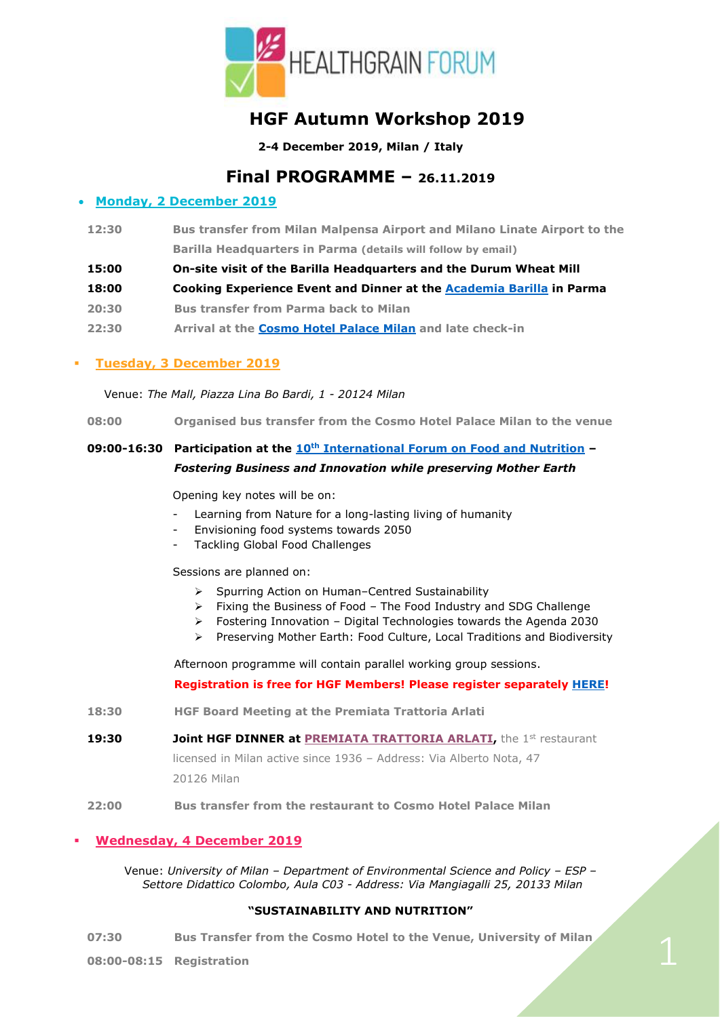

# **HGF Autumn Workshop 2019**

**2-4 December 2019, Milan / Italy**

**Final PROGRAMME – 26.11.2019**

## • **Monday, 2 December 2019**

- **12:30 Bus transfer from Milan Malpensa Airport and Milano Linate Airport to the Barilla Headquarters in Parma (details will follow by email)**
- **15:00 On-site visit of the Barilla Headquarters and the Durum Wheat Mill**
- **18:00 Cooking Experience Event and Dinner at the [Academia Barilla](https://www.academiabarilla.it/en/) in Parma**
- **20:30 Bus transfer from Parma back to Milan**
- **22:30 Arrival at the [Cosmo Hotel Palace Milan](http://www.cosmohotelpalace.it/en/) and late check-in**

## ▪ **Tuesday, 3 December 2019**

Venue: *The Mall, Piazza Lina Bo Bardi, 1 - 20124 Milan*

**08:00 Organised bus transfer from the Cosmo Hotel Palace Milan to the venue** 

# **09:00-16:30 Participation at the 10th [International Forum on Food and Nutrition](https://www.barillacfn.com/en/food_forum/international_forum/) –** *Fostering Business and Innovation while preserving Mother Earth*

Opening key notes will be on:

- Learning from Nature for a long-lasting living of humanity
- Envisioning food systems towards 2050
- Tackling Global Food Challenges

Sessions are planned on:

- ➢ Spurring Action on Human–Centred Sustainability
- ➢ Fixing the Business of Food The Food Industry and SDG Challenge
- ➢ Fostering Innovation Digital Technologies towards the Agenda 2030
- ➢ Preserving Mother Earth: Food Culture, Local Traditions and Biodiversity

Afternoon programme will contain parallel working group sessions.

## **Registration is free for HGF Members! Please register separately [HERE!](https://www.eventboost.com/e/10th-forum-on-food-and-nutrition-/20563/en_US/)**

- **18:30 HGF Board Meeting at the Premiata Trattoria Arlati**
- **19:30 Joint HGF DINNER at [PREMIATA TRATTORIA ARLATI,](https://www.trattoriaarlati.it/le-nostre-sale/)** the 1st restaurant licensed in Milan active since 1936 – Address: Via Alberto Nota, 47 20126 Milan
- **22:00 Bus transfer from the restaurant to Cosmo Hotel Palace Milan**

## Wednesday, 4 December 2019

Venue: *University of Milan – Department of Environmental Science and Policy – ESP – Settore Didattico Colombo, Aula C03 - Address: Via Mangiagalli 25, 20133 Milan*

## **"SUSTAINABILITY AND NUTRITION"**

**07:30 Bus Transfer from the Cosmo Hotel to the Venue, University of Milan**

**08:00-08:15 Registration**